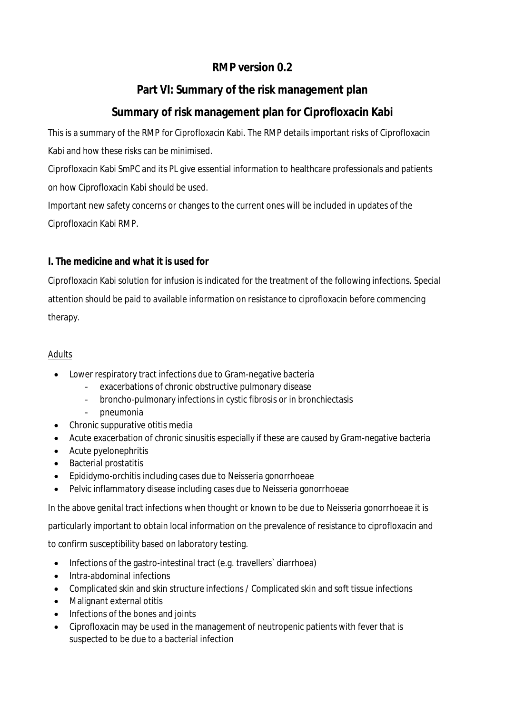# **RMP version 0.2**

# **Part VI: Summary of the risk management plan**

# **Summary of risk management plan for Ciprofloxacin Kabi**

This is a summary of the RMP for Ciprofloxacin Kabi. The RMP details important risks of Ciprofloxacin Kabi and how these risks can be minimised.

Ciprofloxacin Kabi SmPC and its PL give essential information to healthcare professionals and patients on how Ciprofloxacin Kabi should be used.

Important new safety concerns or changes to the current ones will be included in updates of the Ciprofloxacin Kabi RMP.

### **I. The medicine and what it is used for**

Ciprofloxacin Kabi solution for infusion is indicated for the treatment of the following infections. Special attention should be paid to available information on resistance to ciprofloxacin before commencing therapy.

### *Adults*

- Lower respiratory tract infections due to Gram-negative bacteria
	- exacerbations of chronic obstructive pulmonary disease
	- broncho-pulmonary infections in cystic fibrosis or in bronchiectasis
	- pneumonia
- Chronic suppurative otitis media
- Acute exacerbation of chronic sinusitis especially if these are caused by Gram-negative bacteria
- Acute pyelonephritis
- Bacterial prostatitis
- Epididymo-orchitis including cases due to Neisseria gonorrhoeae
- Pelvic inflammatory disease including cases due to Neisseria gonorrhoeae

In the above genital tract infections when thought or known to be due to Neisseria gonorrhoeae it is

particularly important to obtain local information on the prevalence of resistance to ciprofloxacin and

to confirm susceptibility based on laboratory testing.

- Infections of the gastro-intestinal tract (e.g. travellers` diarrhoea)
- Intra-abdominal infections
- Complicated skin and skin structure infections / Complicated skin and soft tissue infections
- Malignant external otitis
- Infections of the bones and joints
- Ciprofloxacin may be used in the management of neutropenic patients with fever that is suspected to be due to a bacterial infection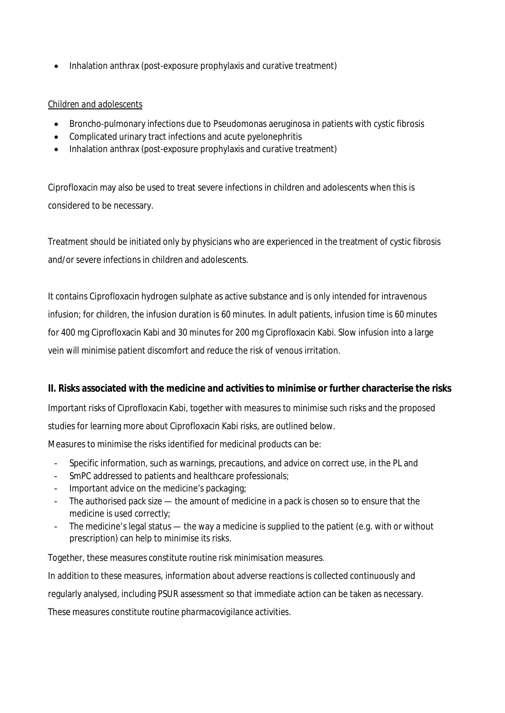Inhalation anthrax (post-exposure prophylaxis and curative treatment)

#### *Children and adolescents*

- Broncho-pulmonary infections due to Pseudomonas aeruginosa in patients with cystic fibrosis
- Complicated urinary tract infections and acute pyelonephritis
- Inhalation anthrax (post-exposure prophylaxis and curative treatment)

Ciprofloxacin may also be used to treat severe infections in children and adolescents when this is considered to be necessary.

Treatment should be initiated only by physicians who are experienced in the treatment of cystic fibrosis and/or severe infections in children and adolescents.

It contains Ciprofloxacin hydrogen sulphate as active substance and is only intended for intravenous infusion; for children, the infusion duration is 60 minutes. In adult patients, infusion time is 60 minutes for 400 mg Ciprofloxacin Kabi and 30 minutes for 200 mg Ciprofloxacin Kabi. Slow infusion into a large vein will minimise patient discomfort and reduce the risk of venous irritation.

**II. Risks associated with the medicine and activities to minimise or further characterise the risks** Important risks of Ciprofloxacin Kabi, together with measures to minimise such risks and the proposed studies for learning more about Ciprofloxacin Kabi risks, are outlined below.

Measures to minimise the risks identified for medicinal products can be:

- Specific information, such as warnings, precautions, and advice on correct use, in the PL and
- SmPC addressed to patients and healthcare professionals;
- Important advice on the medicine's packaging;
- The authorised pack size the amount of medicine in a pack is chosen so to ensure that the medicine is used correctly;
- The medicine's legal status the way a medicine is supplied to the patient (e.g. with or without prescription) can help to minimise its risks.

Together, these measures constitute *routine risk minimisation* measures. In addition to these measures, information about adverse reactions is collected continuously and regularly analysed, including PSUR assessment so that immediate action can be taken as necessary. These measures constitute *routine pharmacovigilance activities*.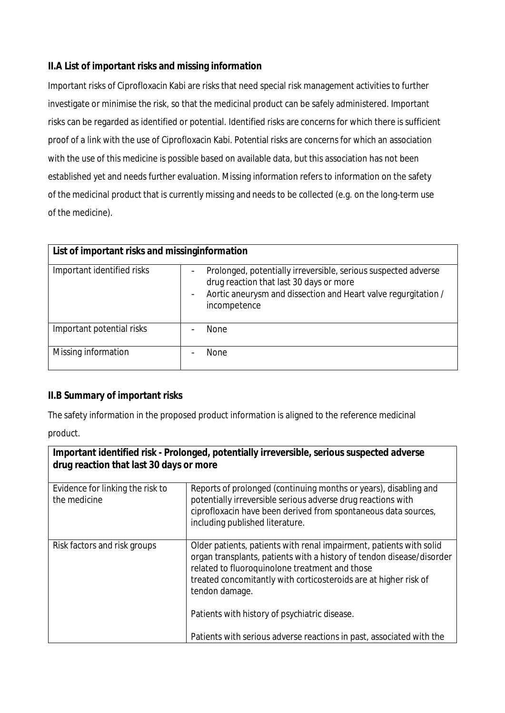### **II.A List of important risks and missing information**

Important risks of Ciprofloxacin Kabi are risks that need special risk management activities to further investigate or minimise the risk, so that the medicinal product can be safely administered. Important risks can be regarded as identified or potential. Identified risks are concerns for which there is sufficient proof of a link with the use of Ciprofloxacin Kabi. Potential risks are concerns for which an association with the use of this medicine is possible based on available data, but this association has not been established yet and needs further evaluation. Missing information refers to information on the safety of the medicinal product that is currently missing and needs to be collected (e.g. on the long-term use of the medicine).

| List of important risks and missinginformation |                                                                                                                                                                                                                                                     |  |
|------------------------------------------------|-----------------------------------------------------------------------------------------------------------------------------------------------------------------------------------------------------------------------------------------------------|--|
| Important identified risks                     | Prolonged, potentially irreversible, serious suspected adverse<br>$\overline{\phantom{0}}$<br>drug reaction that last 30 days or more<br>Aortic aneurysm and dissection and Heart valve regurgitation /<br>$\overline{\phantom{a}}$<br>incompetence |  |
| Important potential risks                      | None                                                                                                                                                                                                                                                |  |
| Missing information                            | <b>None</b>                                                                                                                                                                                                                                         |  |

### **II.B Summary of important risks**

The safety information in the proposed product information is aligned to the reference medicinal

product.

| Important identified risk - Prolonged, potentially irreversible, serious suspected adverse<br>drug reaction that last 30 days or more |                                                                                                                                                                                                                                                                                      |  |
|---------------------------------------------------------------------------------------------------------------------------------------|--------------------------------------------------------------------------------------------------------------------------------------------------------------------------------------------------------------------------------------------------------------------------------------|--|
| Evidence for linking the risk to<br>the medicine                                                                                      | Reports of prolonged (continuing months or years), disabling and<br>potentially irreversible serious adverse drug reactions with<br>ciprofloxacin have been derived from spontaneous data sources,<br>including published literature.                                                |  |
| Risk factors and risk groups                                                                                                          | Older patients, patients with renal impairment, patients with solid<br>organ transplants, patients with a history of tendon disease/disorder<br>related to fluoroquinolone treatment and those<br>treated concomitantly with corticosteroids are at higher risk of<br>tendon damage. |  |
|                                                                                                                                       | Patients with history of psychiatric disease.                                                                                                                                                                                                                                        |  |
|                                                                                                                                       | Patients with serious adverse reactions in past, associated with the                                                                                                                                                                                                                 |  |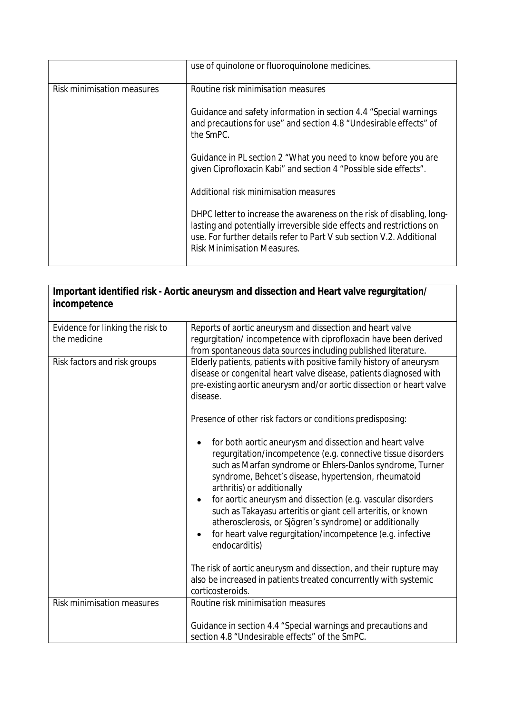|                            | use of quinolone or fluoroquinolone medicines.                                                                                                                                                                                                               |
|----------------------------|--------------------------------------------------------------------------------------------------------------------------------------------------------------------------------------------------------------------------------------------------------------|
| Risk minimisation measures | Routine risk minimisation measures                                                                                                                                                                                                                           |
|                            | Guidance and safety information in section 4.4 "Special warnings<br>and precautions for use" and section 4.8 "Undesirable effects" of<br>the SmPC.                                                                                                           |
|                            | Guidance in PL section 2 "What you need to know before you are<br>given Ciprofloxacin Kabi" and section 4 "Possible side effects".                                                                                                                           |
|                            | Additional risk minimisation measures                                                                                                                                                                                                                        |
|                            | DHPC letter to increase the awareness on the risk of disabling, long-<br>lasting and potentially irreversible side effects and restrictions on<br>use. For further details refer to Part V sub section V.2. Additional<br><b>Risk Minimisation Measures.</b> |

| Important identified risk - Aortic aneurysm and dissection and Heart valve regurgitation/<br>incompetence |                                                                                                                                                                                                                                                                                                                                                                                                                                                                                                                                                     |  |
|-----------------------------------------------------------------------------------------------------------|-----------------------------------------------------------------------------------------------------------------------------------------------------------------------------------------------------------------------------------------------------------------------------------------------------------------------------------------------------------------------------------------------------------------------------------------------------------------------------------------------------------------------------------------------------|--|
| Evidence for linking the risk to<br>the medicine                                                          | Reports of aortic aneurysm and dissection and heart valve<br>regurgitation/incompetence with ciprofloxacin have been derived<br>from spontaneous data sources including published literature.                                                                                                                                                                                                                                                                                                                                                       |  |
| Risk factors and risk groups                                                                              | Elderly patients, patients with positive family history of aneurysm<br>disease or congenital heart valve disease, patients diagnosed with<br>pre-existing aortic aneurysm and/or aortic dissection or heart valve<br>disease.<br>Presence of other risk factors or conditions predisposing:                                                                                                                                                                                                                                                         |  |
|                                                                                                           | for both aortic aneurysm and dissection and heart valve<br>regurgitation/incompetence (e.g. connective tissue disorders<br>such as Marfan syndrome or Ehlers-Danlos syndrome, Turner<br>syndrome, Behcet's disease, hypertension, rheumatoid<br>arthritis) or additionally<br>for aortic aneurysm and dissection (e.g. vascular disorders<br>such as Takayasu arteritis or giant cell arteritis, or known<br>atherosclerosis, or Sjögren's syndrome) or additionally<br>for heart valve regurgitation/incompetence (e.g. infective<br>endocarditis) |  |
|                                                                                                           | The risk of aortic aneurysm and dissection, and their rupture may<br>also be increased in patients treated concurrently with systemic<br>corticosteroids.                                                                                                                                                                                                                                                                                                                                                                                           |  |
| <b>Risk minimisation measures</b>                                                                         | Routine risk minimisation measures<br>Guidance in section 4.4 "Special warnings and precautions and<br>section 4.8 "Undesirable effects" of the SmPC.                                                                                                                                                                                                                                                                                                                                                                                               |  |